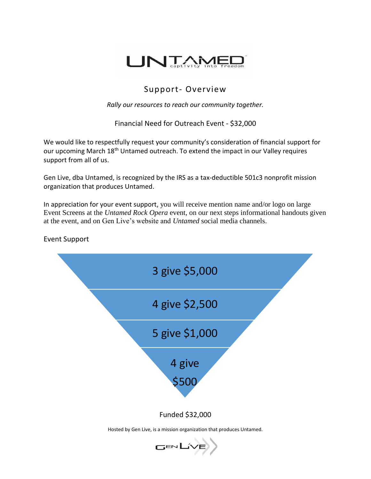

## Support- Overview

*Rally our resources to reach our community together.*

Financial Need for Outreach Event - \$32,000

We would like to respectfully request your community's consideration of financial support for our upcoming March 18<sup>th</sup> Untamed outreach. To extend the impact in our Valley requires support from all of us.

Gen Live, dba Untamed, is recognized by the IRS as a tax-deductible 501c3 nonprofit mission organization that produces Untamed.

In appreciation for your event support, you will receive mention name and/or logo on large Event Screens at the *Untamed Rock Opera* event, on our next steps informational handouts given at the event, and on Gen Live's website and *Untamed* social media channels.



Event Support

Hosted by Gen Live, is a mission organization that produces Untamed.